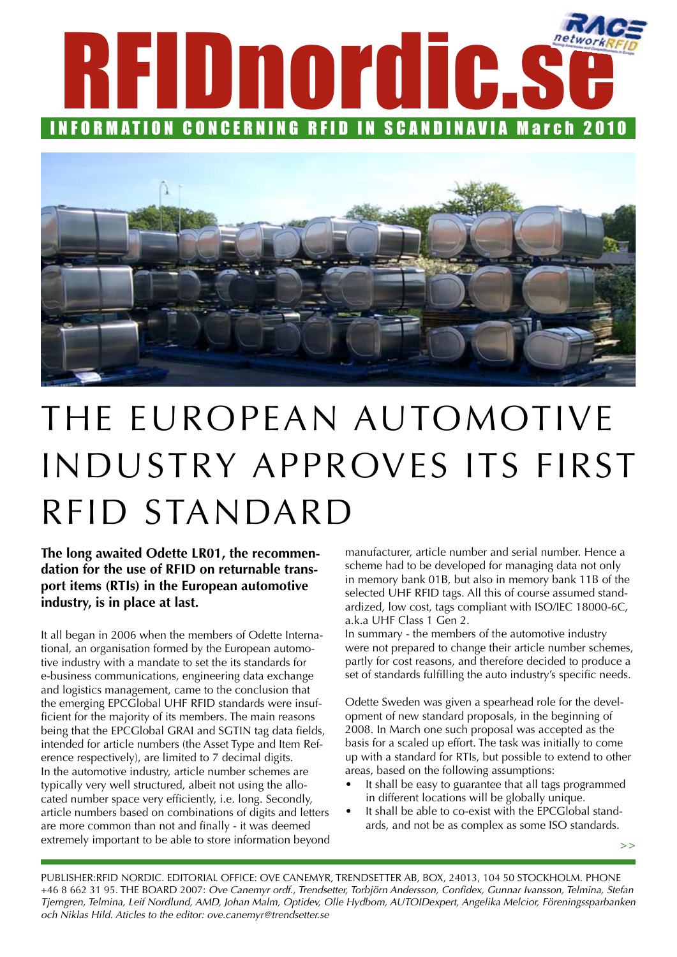



# The European automotive industry approves its first RFID standard

**The long awaited Odette LR01, the recommendation for the use of RFID on returnable transport items (RTIs) in the European automotive industry, is in place at last.** 

It all began in 2006 when the members of Odette International, an organisation formed by the European automotive industry with a mandate to set the its standards for e-business communications, engineering data exchange and logistics management, came to the conclusion that the emerging EPCGlobal UHF RFID standards were insufficient for the majority of its members. The main reasons being that the EPCGlobal GRAI and SGTIN tag data fields, intended for article numbers (the Asset Type and Item Reference respectively), are limited to 7 decimal digits. In the automotive industry, article number schemes are typically very well structured, albeit not using the allocated number space very efficiently, i.e. long. Secondly, article numbers based on combinations of digits and letters are more common than not and finally - it was deemed extremely important to be able to store information beyond manufacturer, article number and serial number. Hence a scheme had to be developed for managing data not only in memory bank 01B, but also in memory bank 11B of the selected UHF RFID tags. All this of course assumed standardized, low cost, tags compliant with ISO/IEC 18000-6C, a.k.a UHF Class 1 Gen 2.

In summary - the members of the automotive industry were not prepared to change their article number schemes, partly for cost reasons, and therefore decided to produce a set of standards fulfilling the auto industry's specific needs.

Odette Sweden was given a spearhead role for the development of new standard proposals, in the beginning of 2008. In March one such proposal was accepted as the basis for a scaled up effort. The task was initially to come up with a standard for RTIs, but possible to extend to other areas, based on the following assumptions:

- It shall be easy to guarantee that all tags programmed in different locations will be globally unique.
- It shall be able to co-exist with the EPCGlobal standards, and not be as complex as some ISO standards.

**>>**

Publisher:RFID Nordic. Editorial office: Ove Canemyr, Trendsetter AB, Box, 24013, 104 50 Stockholm. Phone +46 8 662 31 95. the board 2007: *Ove Canemyr ordf., Trendsetter, Torbjörn Andersson, Confidex, Gunnar Ivansson, Telmina, Stefan Tjerngren, Telmina, Leif Nordlund, AMD, Johan Malm, Optidev, Olle Hydbom, AUTOIDexpert, Angelika Melcior, Föreningssparbanken och Niklas Hild. Aticles to the editor: ove.canemyr@trendsetter.se*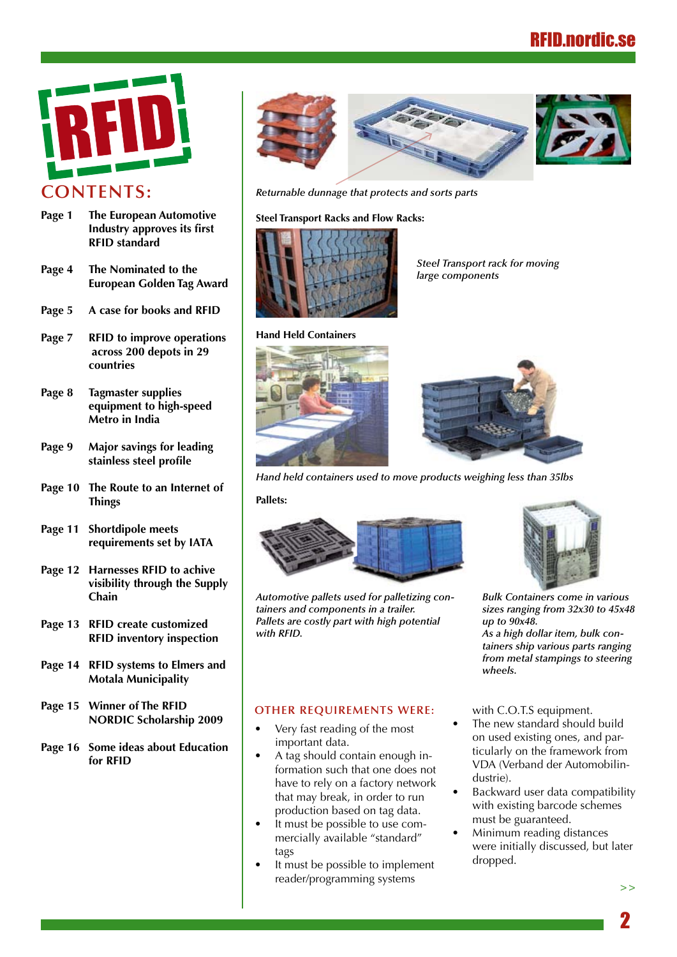

- **Page 1 The European Automotive Industry approves its first RFID standard**
- **Page 4 The Nominated to the European Golden Tag Award**
- **Page 5 A case for books and RFID**
- **Page 7 RFID to improve operations across 200 depots in 29 countries**
- **Page 8 Tagmaster supplies equipment to high-speed Metro in India**
- **Page 9 Major savings for leading stainless steel profile**
- **Page 10 The Route to an Internet of Things**
- **Page 11 Shortdipole meets requirements set by IATA**
- **Page 12 Harnesses RFID to achive visibility through the Supply Chain**
- **Page 13 RFID create customized RFID inventory inspection**
- **Page 14 RFID systems to Elmers and Motala Municipality**
- **Page 15 Winner of The RFID NORDIC Scholarship 2009**
- **Page 16 Some ideas about Education for RFID**



*Returnable dunnage that protects and sorts parts*

#### **Steel Transport Racks and Flow Racks:**



*Steel Transport rack for moving large components*





*Hand held containers used to move products weighing less than 35lbs*

#### **Pallets:**



*Automotive pallets used for palletizing containers and components in a trailer. Pallets are costly part with high potential with RFID.*



*Bulk Containers come in various sizes ranging from 32x30 to 45x48 up to 90x48.*

*As a high dollar item, bulk containers ship various parts ranging from metal stampings to steering wheels.*

#### **Other requirements were:**

- Very fast reading of the most important data.
- A tag should contain enough information such that one does not have to rely on a factory network that may break, in order to run production based on tag data.
- It must be possible to use commercially available "standard" tags
- It must be possible to implement reader/programming systems

with C.O.T.S equipment.

- The new standard should build on used existing ones, and particularly on the framework from VDA (Verband der Automobilindustrie).
- Backward user data compatibility with existing barcode schemes must be guaranteed.
- Minimum reading distances were initially discussed, but later dropped.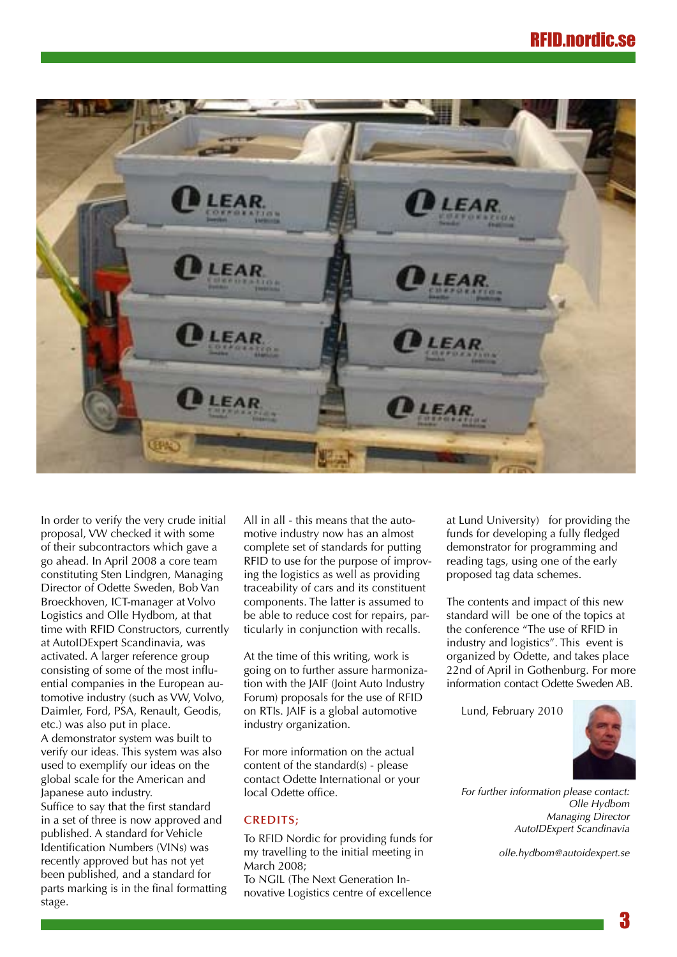

In order to verify the very crude initial proposal, VW checked it with some of their subcontractors which gave a go ahead. In April 2008 a core team constituting Sten Lindgren, Managing Director of Odette Sweden, Bob Van Broeckhoven, ICT-manager at Volvo Logistics and Olle Hydbom, at that time with RFID Constructors, currently at AutoIDExpert Scandinavia, was activated. A larger reference group consisting of some of the most influential companies in the European automotive industry (such as VW, Volvo, Daimler, Ford, PSA, Renault, Geodis, etc.) was also put in place. A demonstrator system was built to verify our ideas. This system was also used to exemplify our ideas on the global scale for the American and Japanese auto industry. Suffice to say that the first standard in a set of three is now approved and published. A standard for Vehicle Identification Numbers (VINs) was recently approved but has not yet been published, and a standard for parts marking is in the final formatting stage.

All in all - this means that the automotive industry now has an almost complete set of standards for putting RFID to use for the purpose of improving the logistics as well as providing traceability of cars and its constituent components. The latter is assumed to be able to reduce cost for repairs, particularly in conjunction with recalls.

At the time of this writing, work is going on to further assure harmonization with the JAIF (Joint Auto Industry Forum) proposals for the use of RFID on RTIs. JAIF is a global automotive industry organization.

For more information on the actual content of the standard(s) - please contact Odette International or your local Odette office.

#### **Credits;**

To RFID Nordic for providing funds for my travelling to the initial meeting in March 2008;

To NGIL (The Next Generation Innovative Logistics centre of excellence at Lund University) for providing the funds for developing a fully fledged demonstrator for programming and reading tags, using one of the early proposed tag data schemes.

The contents and impact of this new standard will be one of the topics at the conference "The use of RFID in industry and logistics". This event is organized by Odette, and takes place 22nd of April in Gothenburg. For more information contact Odette Sweden AB.

Lund, February 2010



*For further information please contact: Olle Hydbom Managing Director AutoIDExpert Scandinavia*

*olle.hydbom@autoidexpert.se*

3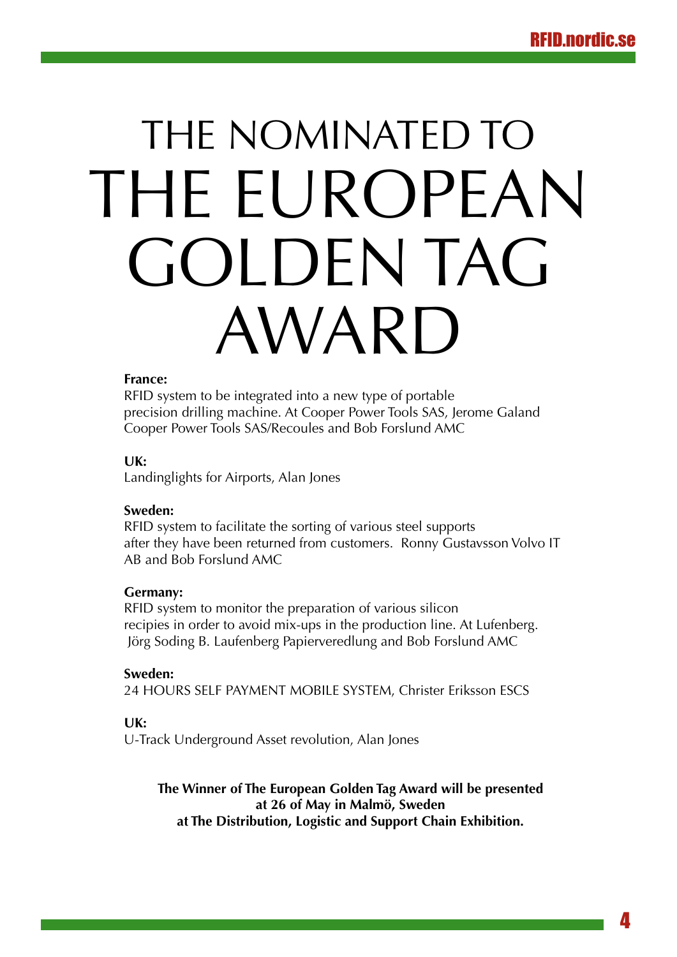# THE NOMINATED TO THE FUROPEAN Golden Tag Award

## **France:**

RFID system to be integrated into a new type of portable precision drilling machine. At Cooper Power Tools SAS, Jerome Galand Cooper Power Tools SAS/Recoules and Bob Forslund AMC

## **UK:**

Landinglights for Airports, Alan Jones

## **Sweden:**

RFID system to facilitate the sorting of various steel supports after they have been returned from customers. Ronny Gustavsson Volvo IT AB and Bob Forslund AMC

## **Germany:**

RFID system to monitor the preparation of various silicon recipies in order to avoid mix-ups in the production line. At Lufenberg. Jörg Soding B. Laufenberg Papierveredlung and Bob Forslund AMC

## **Sweden:**

24 HOURS SELF PAYMENT MOBILE SYSTEM, Christer Eriksson ESCS

## **UK:**

U-Track Underground Asset revolution, Alan Jones

**The Winner of The European Golden Tag Award will be presented at 26 of May in Malmö, Sweden at The Distribution, Logistic and Support Chain Exhibition.**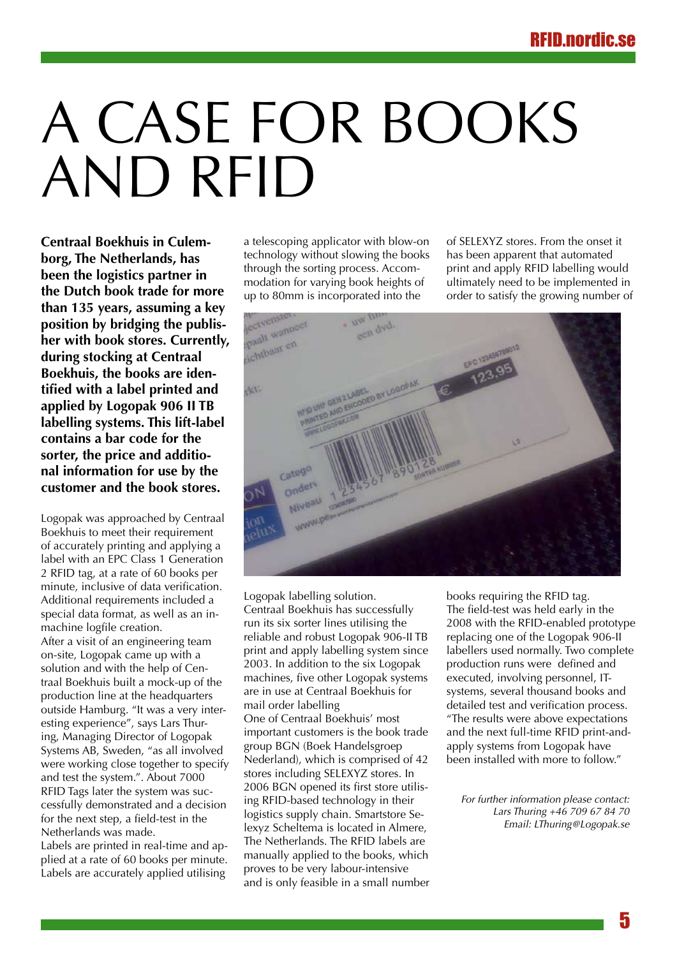# A CASE FOR BOOKS and RFID

**Centraal Boekhuis in Culemborg, The Netherlands, has been the logistics partner in the Dutch book trade for more than 135 years, assuming a key position by bridging the publisher with book stores. Currently, during stocking at Centraal Boekhuis, the books are identified with a label printed and applied by Logopak 906 II TB labelling systems. This lift-label contains a bar code for the sorter, the price and additional information for use by the customer and the book stores.**

Logopak was approached by Centraal Boekhuis to meet their requirement of accurately printing and applying a label with an EPC Class 1 Generation 2 RFID tag, at a rate of 60 books per minute, inclusive of data verification. Additional requirements included a special data format, as well as an inmachine logfile creation. After a visit of an engineering team on-site, Logopak came up with a solution and with the help of Centraal Boekhuis built a mock-up of the production line at the headquarters outside Hamburg. "It was a very interesting experience", says Lars Thuring, Managing Director of Logopak Systems AB, Sweden, "as all involved were working close together to specify and test the system.". About 7000 RFID Tags later the system was successfully demonstrated and a decision for the next step, a field-test in the Netherlands was made.

Labels are printed in real-time and applied at a rate of 60 books per minute. Labels are accurately applied utilising

a telescoping applicator with blow-on technology without slowing the books through the sorting process. Accommodation for varying book heights of up to 80mm is incorporated into the

of SELEXYZ stores. From the onset it has been apparent that automated print and apply RFID labelling would ultimately need to be implemented in order to satisfy the growing number of



Logopak labelling solution. Centraal Boekhuis has successfully run its six sorter lines utilising the reliable and robust Logopak 906-II TB print and apply labelling system since 2003. In addition to the six Logopak machines, five other Logopak systems are in use at Centraal Boekhuis for mail order labelling One of Centraal Boekhuis' most important customers is the book trade group BGN (Boek Handelsgroep Nederland), which is comprised of 42 stores including SELEXYZ stores. In 2006 BGN opened its first store utilising RFID-based technology in their logistics supply chain. Smartstore Selexyz Scheltema is located in Almere, The Netherlands. The RFID labels are manually applied to the books, which proves to be very labour-intensive and is only feasible in a small number books requiring the RFID tag. The field-test was held early in the 2008 with the RFID-enabled prototype replacing one of the Logopak 906-II labellers used normally. Two complete production runs were defined and executed, involving personnel, ITsystems, several thousand books and detailed test and verification process. "The results were above expectations and the next full-time RFID print-andapply systems from Logopak have been installed with more to follow."

*For further information please contact: Lars Thuring +46 709 67 84 70 Email: LThuring@Logopak.se*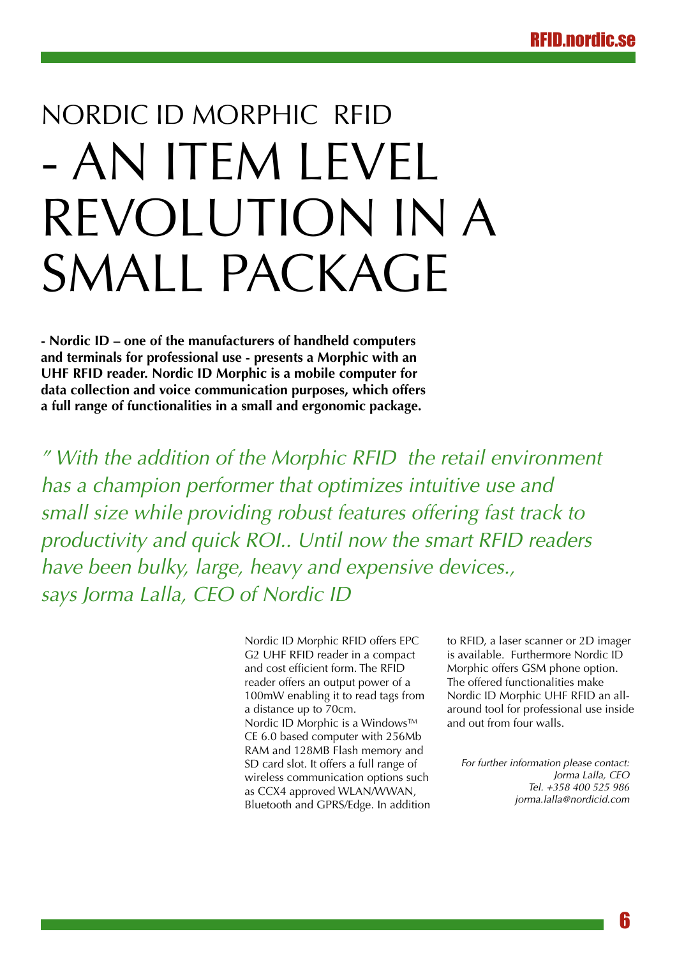# Nordic ID Morphic RFID - an item level revolution in a SMALL PACKAGE

**- Nordic ID – one of the manufacturers of handheld computers and terminals for professional use - presents a Morphic with an UHF RFID reader. Nordic ID Morphic is a mobile computer for data collection and voice communication purposes, which offers a full range of functionalities in a small and ergonomic package.** 

*" With the addition of the Morphic RFID the retail environment has a champion performer that optimizes intuitive use and small size while providing robust features offering fast track to productivity and quick ROI.. Until now the smart RFID readers have been bulky, large, heavy and expensive devices., says Jorma Lalla, CEO of Nordic ID*

> Nordic ID Morphic RFID offers EPC G2 UHF RFID reader in a compact and cost efficient form. The RFID reader offers an output power of a 100mW enabling it to read tags from a distance up to 70cm. Nordic ID Morphic is a Windows™ CE 6.0 based computer with 256Mb RAM and 128MB Flash memory and SD card slot. It offers a full range of wireless communication options such as CCX4 approved WLAN/WWAN, Bluetooth and GPRS/Edge. In addition

to RFID, a laser scanner or 2D imager is available. Furthermore Nordic ID Morphic offers GSM phone option. The offered functionalities make Nordic ID Morphic UHF RFID an allaround tool for professional use inside and out from four walls.

*For further information please contact: Jorma Lalla, CEO Tel. +358 400 525 986 jorma.lalla@nordicid.com*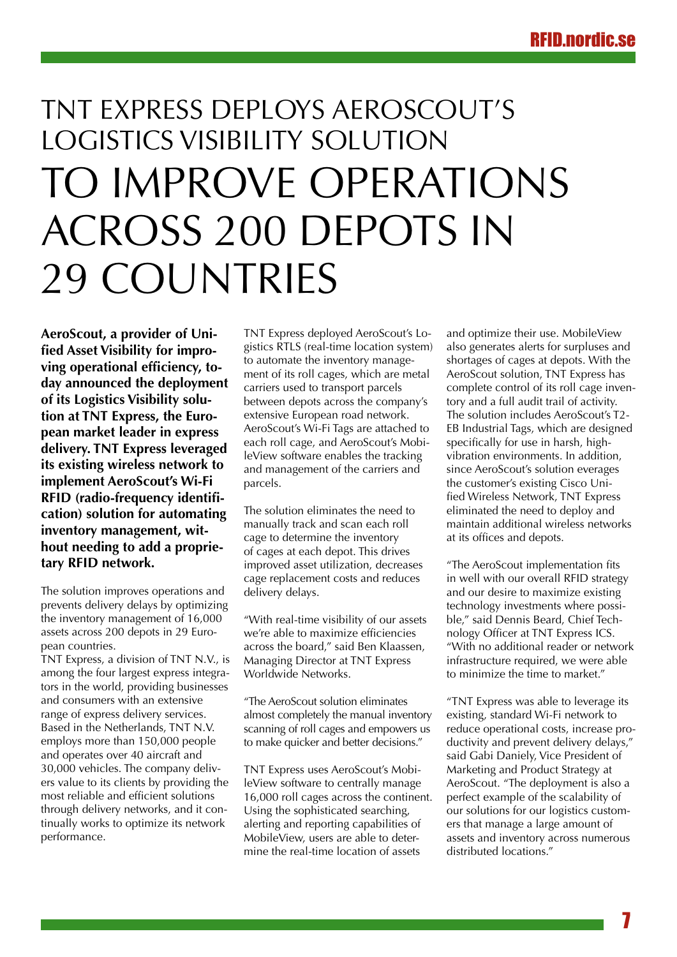# TNT Express Deploys AeroScout's Logistics Visibility Solution to Improve Operations Across 200 Depots in 29 Countries

**AeroScout, a provider of Unified Asset Visibility for improving operational efficiency, today announced the deployment of its Logistics Visibility solution at TNT Express, the European market leader in express delivery. TNT Express leveraged its existing wireless network to implement AeroScout's Wi-Fi RFID (radio-frequency identification) solution for automating inventory management, without needing to add a proprietary RFID network.**

The solution improves operations and prevents delivery delays by optimizing the inventory management of 16,000 assets across 200 depots in 29 European countries.

TNT Express, a division of TNT N.V., is among the four largest express integrators in the world, providing businesses and consumers with an extensive range of express delivery services. Based in the Netherlands, TNT N.V. employs more than 150,000 people and operates over 40 aircraft and 30,000 vehicles. The company delivers value to its clients by providing the most reliable and efficient solutions through delivery networks, and it continually works to optimize its network performance.

TNT Express deployed AeroScout's Logistics RTLS (real-time location system) to automate the inventory management of its roll cages, which are metal carriers used to transport parcels between depots across the company's extensive European road network. AeroScout's Wi-Fi Tags are attached to each roll cage, and AeroScout's MobileView software enables the tracking and management of the carriers and parcels.

The solution eliminates the need to manually track and scan each roll cage to determine the inventory of cages at each depot. This drives improved asset utilization, decreases cage replacement costs and reduces delivery delays.

"With real-time visibility of our assets we're able to maximize efficiencies across the board," said Ben Klaassen, Managing Director at TNT Express Worldwide Networks.

"The AeroScout solution eliminates almost completely the manual inventory scanning of roll cages and empowers us to make quicker and better decisions."

TNT Express uses AeroScout's MobileView software to centrally manage 16,000 roll cages across the continent. Using the sophisticated searching, alerting and reporting capabilities of MobileView, users are able to determine the real-time location of assets

and optimize their use. MobileView also generates alerts for surpluses and shortages of cages at depots. With the AeroScout solution, TNT Express has complete control of its roll cage inventory and a full audit trail of activity. The solution includes AeroScout's T2- EB Industrial Tags, which are designed specifically for use in harsh, highvibration environments. In addition, since AeroScout's solution everages the customer's existing Cisco Unified Wireless Network, TNT Express eliminated the need to deploy and maintain additional wireless networks at its offices and depots.

"The AeroScout implementation fits in well with our overall RFID strategy and our desire to maximize existing technology investments where possible," said Dennis Beard, Chief Technology Officer at TNT Express ICS. "With no additional reader or network infrastructure required, we were able to minimize the time to market."

"TNT Express was able to leverage its existing, standard Wi-Fi network to reduce operational costs, increase productivity and prevent delivery delays," said Gabi Daniely, Vice President of Marketing and Product Strategy at AeroScout. "The deployment is also a perfect example of the scalability of our solutions for our logistics customers that manage a large amount of assets and inventory across numerous distributed locations."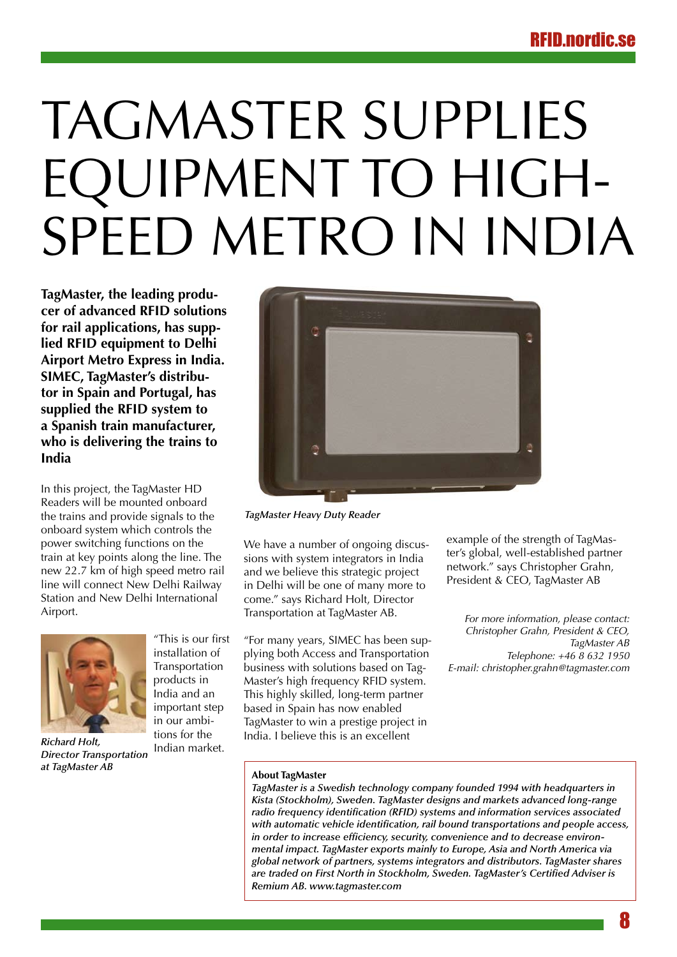# TagMaster Supplies Equipment to High-SPEED METRO IN INDIA

**TagMaster, the leading producer of advanced RFID solutions for rail applications, has supplied RFID equipment to Delhi Airport Metro Express in India. SIMEC, TagMaster's distributor in Spain and Portugal, has supplied the RFID system to a Spanish train manufacturer, who is delivering the trains to India**

In this project, the TagMaster HD Readers will be mounted onboard the trains and provide signals to the onboard system which controls the power switching functions on the train at key points along the line. The new 22.7 km of high speed metro rail line will connect New Delhi Railway Station and New Delhi International Airport.



*Richard Holt, Director Transportation at TagMaster AB*

"This is our first installation of Transportation products in India and an important step in our ambitions for the Indian market.



*TagMaster Heavy Duty Reader*

We have a number of ongoing discussions with system integrators in India and we believe this strategic project in Delhi will be one of many more to come." says Richard Holt, Director Transportation at TagMaster AB.

"For many years, SIMEC has been supplying both Access and Transportation business with solutions based on Tag-Master's high frequency RFID system. This highly skilled, long-term partner based in Spain has now enabled TagMaster to win a prestige project in India. I believe this is an excellent

example of the strength of TagMaster's global, well-established partner network." says Christopher Grahn, President & CEO, TagMaster AB

*For more information, please contact: Christopher Grahn, President & CEO, TagMaster AB Telephone: +46 8 632 1950 E-mail: christopher.grahn@tagmaster.com*

#### **About TagMaster**

*TagMaster is a Swedish technology company founded 1994 with headquarters in Kista (Stockholm), Sweden. TagMaster designs and markets advanced long-range radio frequency identification (RFID) systems and information services associated with automatic vehicle identification, rail bound transportations and people access, in order to increase efficiency, security, convenience and to decrease environmental impact. TagMaster exports mainly to Europe, Asia and North America via global network of partners, systems integrators and distributors. TagMaster shares are traded on First North in Stockholm, Sweden. TagMaster's Certified Adviser is Remium AB. www.tagmaster.com*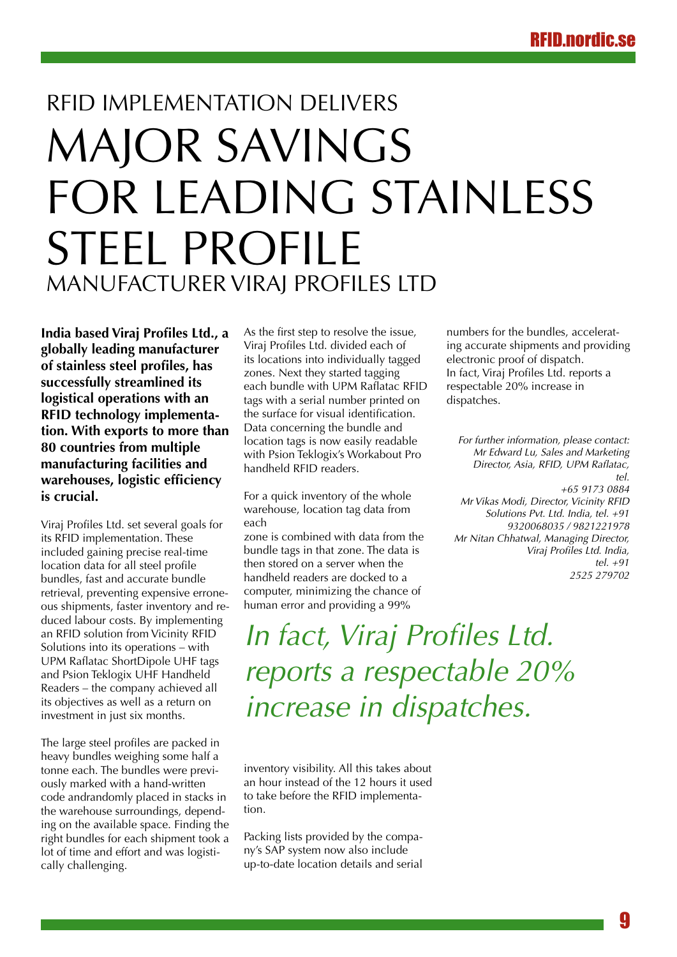# RFID implementation delivers major savings for leading stainless steel profile manufacturer Viraj Profiles Ltd

**India based Viraj Profiles Ltd., a globally leading manufacturer of stainless steel profiles, has successfully streamlined its logistical operations with an RFID technology implementation. With exports to more than 80 countries from multiple manufacturing facilities and warehouses, logistic efficiency is crucial.**

Viraj Profiles Ltd. set several goals for its RFID implementation. These included gaining precise real-time location data for all steel profile bundles, fast and accurate bundle retrieval, preventing expensive erroneous shipments, faster inventory and reduced labour costs. By implementing an RFID solution from Vicinity RFID Solutions into its operations – with UPM Raflatac ShortDipole UHF tags and Psion Teklogix UHF Handheld Readers – the company achieved all its objectives as well as a return on investment in just six months.

The large steel profiles are packed in heavy bundles weighing some half a tonne each. The bundles were previously marked with a hand-written code andrandomly placed in stacks in the warehouse surroundings, depending on the available space. Finding the right bundles for each shipment took a lot of time and effort and was logistically challenging.

As the first step to resolve the issue, Viraj Profiles Ltd. divided each of its locations into individually tagged zones. Next they started tagging each bundle with UPM Raflatac RFID tags with a serial number printed on the surface for visual identification. Data concerning the bundle and location tags is now easily readable with Psion Teklogix's Workabout Pro handheld RFID readers.

For a quick inventory of the whole warehouse, location tag data from each

zone is combined with data from the bundle tags in that zone. The data is then stored on a server when the handheld readers are docked to a computer, minimizing the chance of human error and providing a 99%

numbers for the bundles, accelerating accurate shipments and providing electronic proof of dispatch. In fact, Viraj Profiles Ltd. reports a respectable 20% increase in dispatches.

*For further information, please contact: Mr Edward Lu, Sales and Marketing Director, Asia, RFID, UPM Raflatac, tel. +65 9173 0884 Mr Vikas Modi, Director, Vicinity RFID Solutions Pvt. Ltd. India, tel. +91 9320068035 / 9821221978 Mr Nitan Chhatwal, Managing Director, Viraj Profiles Ltd. India, tel. +91 2525 279702*

*In fact, Viraj Profiles Ltd. reports a respectable 20% increase in dispatches.*

inventory visibility. All this takes about an hour instead of the 12 hours it used to take before the RFID implementation.

Packing lists provided by the company's SAP system now also include up-to-date location details and serial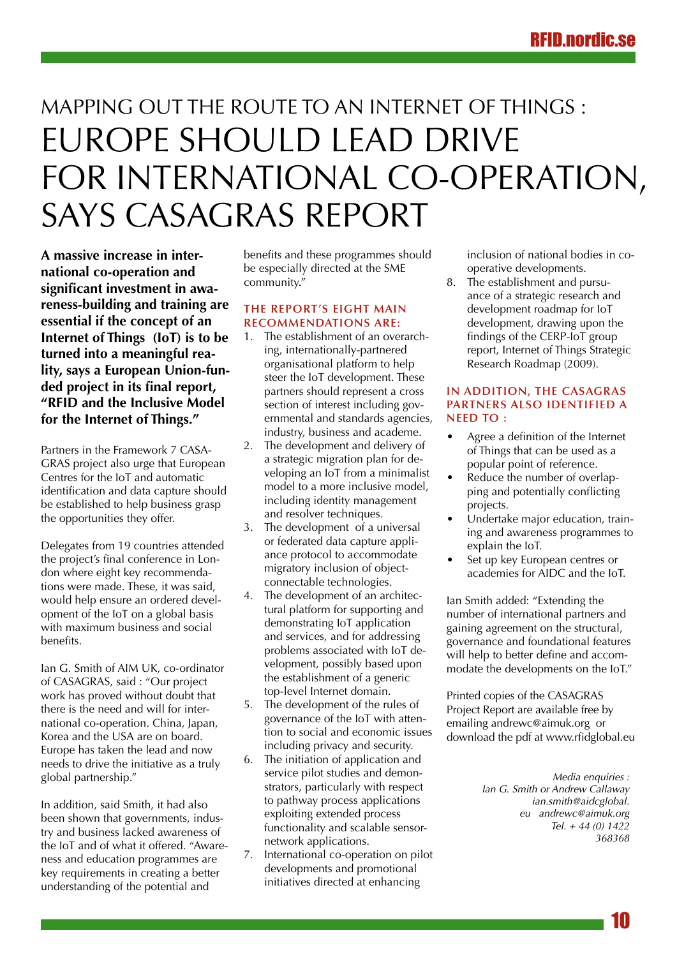# MAPPING OUT THE ROUTE TO AN INTERNET OF THINGS : Europe should lead drive for international co-operation, says CASAGRAS report

**A massive increase in international co-operation and significant investment in awareness-building and training are essential if the concept of an Internet of Things (IoT) is to be turned into a meaningful reality, says a European Union-funded project in its final report, "RFID and the Inclusive Model for the Internet of Things."**

Partners in the Framework 7 CASA-GRAS project also urge that European Centres for the IoT and automatic identification and data capture should be established to help business grasp the opportunities they offer.

Delegates from 19 countries attended the project's final conference in London where eight key recommendations were made. These, it was said, would help ensure an ordered development of the IoT on a global basis with maximum business and social benefits.

Ian G. Smith of AIM UK, co-ordinator of CASAGRAS, said : "Our project work has proved without doubt that there is the need and will for international co-operation. China, Japan, Korea and the USA are on board. Europe has taken the lead and now needs to drive the initiative as a truly global partnership."

In addition, said Smith, it had also been shown that governments, industry and business lacked awareness of the IoT and of what it offered. "Awareness and education programmes are key requirements in creating a better understanding of the potential and

benefits and these programmes should be especially directed at the SME community."

### **The report's eight main recommendations are:**

- 1. The establishment of an overarching, internationally-partnered organisational platform to help steer the IoT development. These partners should represent a cross section of interest including governmental and standards agencies, industry, business and academe.
- 2. The development and delivery of a strategic migration plan for developing an IoT from a minimalist model to a more inclusive model, including identity management and resolver techniques.
- 3. The development of a universal or federated data capture appliance protocol to accommodate migratory inclusion of objectconnectable technologies.
- 4. The development of an architectural platform for supporting and demonstrating IoT application and services, and for addressing problems associated with IoT development, possibly based upon the establishment of a generic top-level Internet domain.
- 5. The development of the rules of governance of the IoT with attention to social and economic issues including privacy and security.
- 6. The initiation of application and service pilot studies and demonstrators, particularly with respect to pathway process applications exploiting extended process functionality and scalable sensornetwork applications.
- 7. International co-operation on pilot developments and promotional initiatives directed at enhancing

inclusion of national bodies in cooperative developments.

8. The establishment and pursuance of a strategic research and development roadmap for IoT development, drawing upon the findings of the CERP-IoT group report, Internet of Things Strategic Research Roadmap (2009).

### **In addition, the CASAGRAS partners also identified a NFFD TO:**

- Agree a definition of the Internet of Things that can be used as a popular point of reference.
- Reduce the number of overlapping and potentially conflicting projects.
- Undertake major education, training and awareness programmes to explain the IoT.
- Set up key European centres or academies for AIDC and the IoT.

Ian Smith added: "Extending the number of international partners and gaining agreement on the structural, governance and foundational features will help to better define and accommodate the developments on the IoT."

Printed copies of the CASAGRAS Project Report are available free by emailing andrewc@aimuk.org or download the pdf at www.rfidglobal.eu

> *Media enquiries : Ian G. Smith or Andrew Callaway ian.smith@aidcglobal. eu andrewc@aimuk.org Tel. + 44 (0) 1422 368368*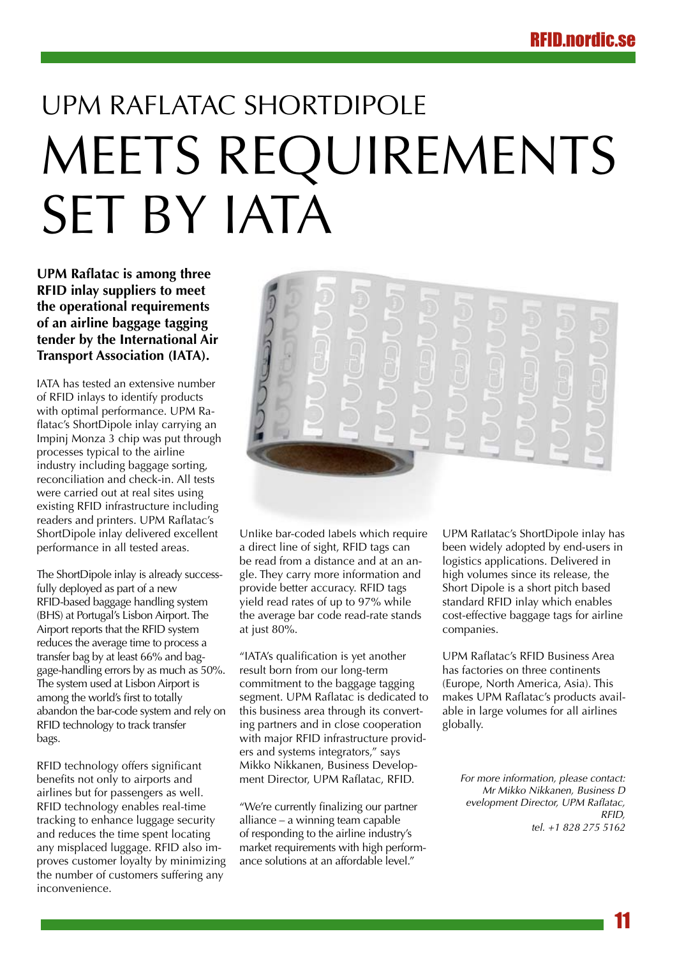# UPM Raflatac ShortDipole MEETS REQUIREMENTS SET BY IATA

**UPM Raflatac is among three RFID inlay suppliers to meet the operational requirements of an airline baggage tagging tender by the International Air Transport Association (IATA).**

IATA has tested an extensive number of RFID inlays to identify products with optimal performance. UPM Raflatac's ShortDipole inlay carrying an Impinj Monza 3 chip was put through processes typical to the airline industry including baggage sorting, reconciliation and check-in. All tests were carried out at real sites using existing RFID infrastructure including readers and printers. UPM Raflatac's ShortDipole inlay delivered excellent performance in all tested areas.

The ShortDipole inlay is already successfully deployed as part of a new RFID-based baggage handling system (BHS) at Portugal's Lisbon Airport. The Airport reports that the RFID system reduces the average time to process a transfer bag by at least 66% and baggage-handling errors by as much as 50%. The system used at Lisbon Airport is among the world's first to totally abandon the bar-code system and rely on RFID technology to track transfer bags.

RFID technology offers significant benefits not only to airports and airlines but for passengers as well. RFID technology enables real-time tracking to enhance luggage security and reduces the time spent locating any misplaced luggage. RFID also improves customer loyalty by minimizing the number of customers suffering any inconvenience.



Unlike bar-coded labels which require a direct line of sight, RFID tags can be read from a distance and at an angle. They carry more information and provide better accuracy. RFID tags yield read rates of up to 97% while the average bar code read-rate stands at just 80%.

"IATA's qualification is yet another result born from our long-term commitment to the baggage tagging segment. UPM Raflatac is dedicated to this business area through its converting partners and in close cooperation with major RFID infrastructure providers and systems integrators," says Mikko Nikkanen, Business Development Director, UPM Raflatac, RFID.

"We're currently finalizing our partner alliance – a winning team capable of responding to the airline industry's market requirements with high performance solutions at an affordable level."

UPM Raflatac's ShortDipole inlay has been widely adopted by end-users in logistics applications. Delivered in high volumes since its release, the Short Dipole is a short pitch based standard RFID inlay which enables cost-effective baggage tags for airline companies.

UPM Raflatac's RFID Business Area has factories on three continents (Europe, North America, Asia). This makes UPM Raflatac's products available in large volumes for all airlines globally.

*For more information, please contact: Mr Mikko Nikkanen, Business D evelopment Director, UPM Raflatac, RFID, tel. +1 828 275 5162*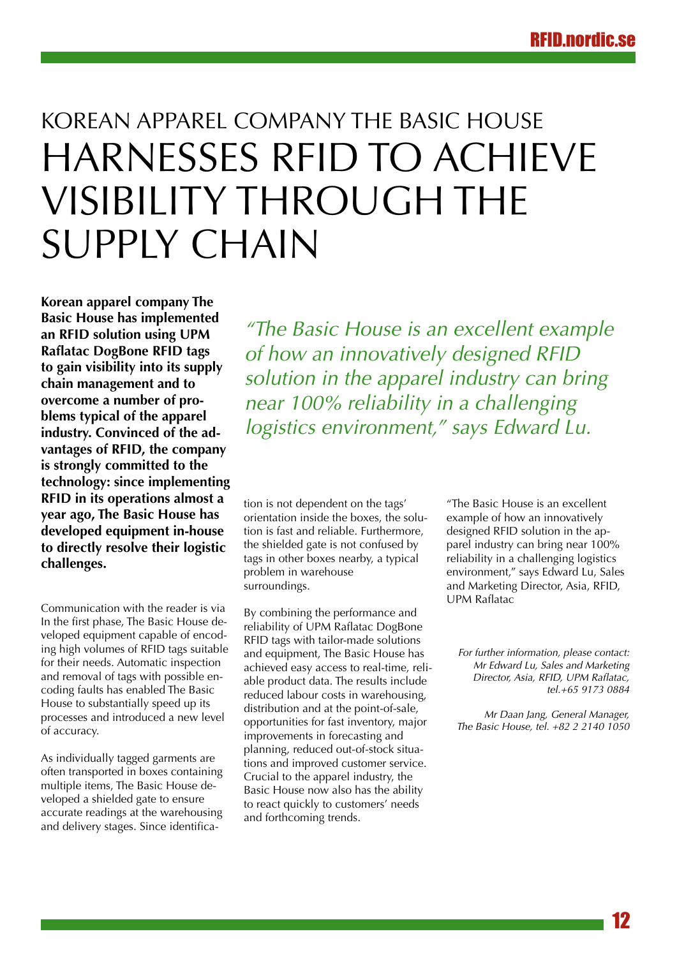# Korean apparel company The Basic House harnesses RFID to achieve visibility through the supply chain

**Korean apparel company The Basic House has implemented an RFID solution using UPM Raflatac DogBone RFID tags to gain visibility into its supply chain management and to overcome a number of problems typical of the apparel industry. Convinced of the advantages of RFID, the company is strongly committed to the technology: since implementing RFID in its operations almost a year ago, The Basic House has developed equipment in-house to directly resolve their logistic challenges.**

Communication with the reader is via In the first phase, The Basic House developed equipment capable of encoding high volumes of RFID tags suitable for their needs. Automatic inspection and removal of tags with possible encoding faults has enabled The Basic House to substantially speed up its processes and introduced a new level of accuracy.

As individually tagged garments are often transported in boxes containing multiple items, The Basic House developed a shielded gate to ensure accurate readings at the warehousing and delivery stages. Since identifica-

*"The Basic House is an excellent example of how an innovatively designed RFID solution in the apparel industry can bring near 100% reliability in a challenging logistics environment," says Edward Lu.*

tion is not dependent on the tags' orientation inside the boxes, the solution is fast and reliable. Furthermore, the shielded gate is not confused by tags in other boxes nearby, a typical problem in warehouse surroundings.

By combining the performance and reliability of UPM Raflatac DogBone RFID tags with tailor-made solutions and equipment, The Basic House has achieved easy access to real-time, reliable product data. The results include reduced labour costs in warehousing, distribution and at the point-of-sale, opportunities for fast inventory, major improvements in forecasting and planning, reduced out-of-stock situations and improved customer service. Crucial to the apparel industry, the Basic House now also has the ability to react quickly to customers' needs and forthcoming trends.

"The Basic House is an excellent example of how an innovatively designed RFID solution in the apparel industry can bring near 100% reliability in a challenging logistics environment," says Edward Lu, Sales and Marketing Director, Asia, RFID, UPM Raflatac

*For further information, please contact: Mr Edward Lu, Sales and Marketing Director, Asia, RFID, UPM Raflatac, tel.+65 9173 0884*

*Mr Daan Jang, General Manager, The Basic House, tel. +82 2 2140 1050*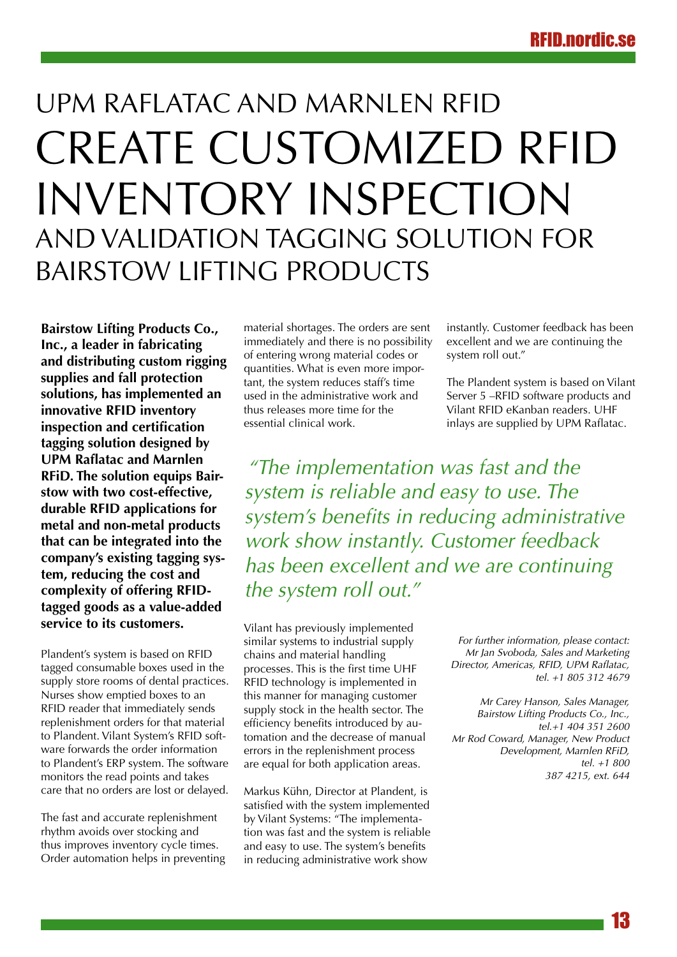# UPM Raflatac and Marnlen RFiD create customized RFID inventory inspection and validation tagging solution for Bairstow Lifting Products

**Bairstow Lifting Products Co., Inc., a leader in fabricating and distributing custom rigging supplies and fall protection solutions, has implemented an innovative RFID inventory inspection and certification tagging solution designed by UPM Raflatac and Marnlen RFiD. The solution equips Bairstow with two cost-effective, durable RFID applications for metal and non-metal products that can be integrated into the company's existing tagging system, reducing the cost and complexity of offering RFIDtagged goods as a value-added service to its customers.**

Plandent's system is based on RFID tagged consumable boxes used in the supply store rooms of dental practices. Nurses show emptied boxes to an RFID reader that immediately sends replenishment orders for that material to Plandent. Vilant System's RFID software forwards the order information to Plandent's ERP system. The software monitors the read points and takes care that no orders are lost or delayed.

The fast and accurate replenishment rhythm avoids over stocking and thus improves inventory cycle times. Order automation helps in preventing material shortages. The orders are sent immediately and there is no possibility of entering wrong material codes or quantities. What is even more important, the system reduces staff's time used in the administrative work and thus releases more time for the essential clinical work.

instantly. Customer feedback has been excellent and we are continuing the system roll out."

The Plandent system is based on Vilant Server 5 –RFID software products and Vilant RFID eKanban readers. UHF inlays are supplied by UPM Raflatac.

*"The implementation was fast and the system is reliable and easy to use. The system's benefits in reducing administrative work show instantly. Customer feedback has been excellent and we are continuing the system roll out."*

Vilant has previously implemented similar systems to industrial supply chains and material handling processes. This is the first time UHF RFID technology is implemented in this manner for managing customer supply stock in the health sector. The efficiency benefits introduced by automation and the decrease of manual errors in the replenishment process are equal for both application areas.

Markus Kühn, Director at Plandent, is satisfied with the system implemented by Vilant Systems: "The implementation was fast and the system is reliable and easy to use. The system's benefits in reducing administrative work show

*For further information, please contact: Mr Jan Svoboda, Sales and Marketing Director, Americas, RFID, UPM Raflatac, tel. +1 805 312 4679*

*Mr Carey Hanson, Sales Manager, Bairstow Lifting Products Co., Inc., tel.+1 404 351 2600 Mr Rod Coward, Manager, New Product Development, Marnlen RFiD, tel. +1 800 387 4215, ext. 644*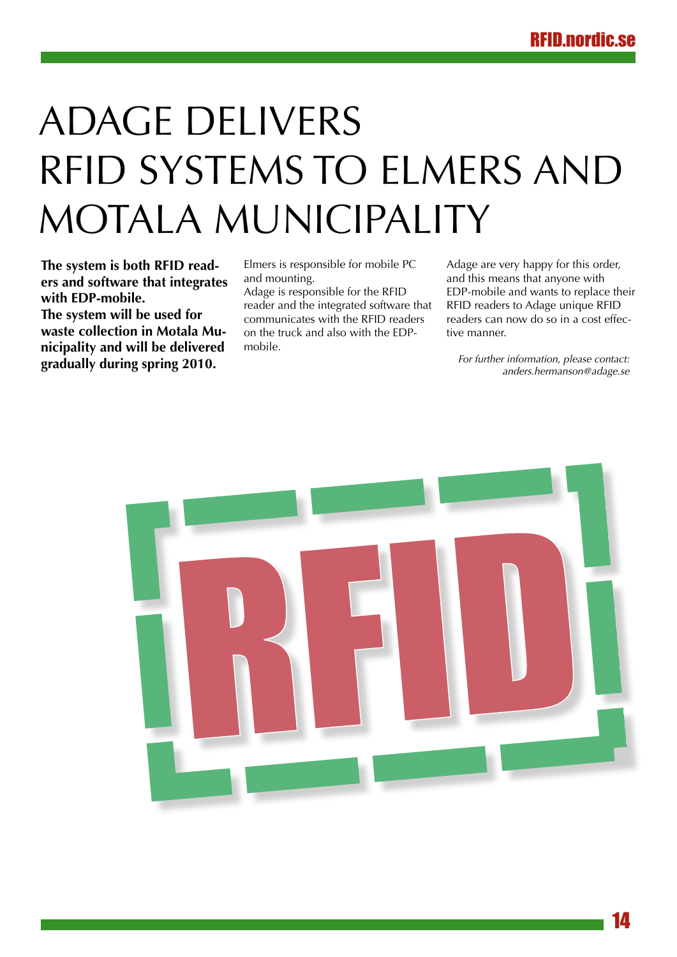# Adage delivers RFID systems to Elmers and Motala Municipality

**The system is both RFID readers and software that integrates with EDP-mobile.**

**The system will be used for waste collection in Motala Municipality and will be delivered gradually during spring 2010.**

Elmers is responsible for mobile PC and mounting.

Adage is responsible for the RFID reader and the integrated software that communicates with the RFID readers on the truck and also with the EDPmobile.

Adage are very happy for this order, and this means that anyone with EDP-mobile and wants to replace their RFID readers to Adage unique RFID readers can now do so in a cost effective manner.

*For further information, please contact: anders.hermanson@adage.se* 

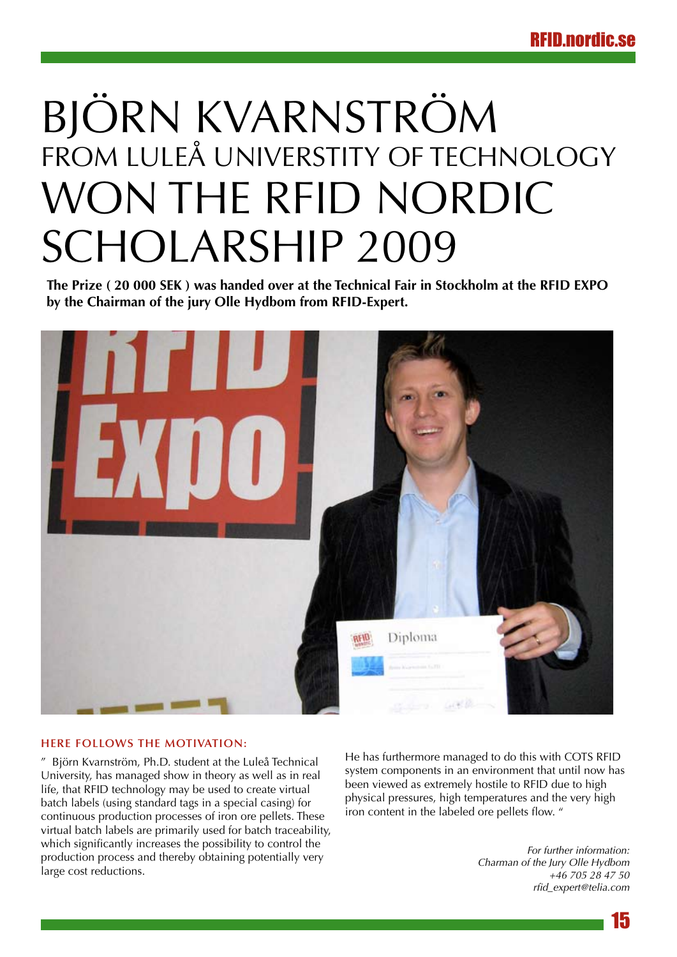# Björn Kvarnström from Luleå Universtity of Technology won The RFID NORDIC Scholarship 2009

**The Prize ( 20 000 SEK ) was handed over at the Technical Fair in Stockholm at the RFID EXPO by the Chairman of the jury Olle Hydbom from RFID-Expert.** 



### **Here follows the motivation:**

" Björn Kvarnström, Ph.D. student at the Luleå Technical University, has managed show in theory as well as in real life, that RFID technology may be used to create virtual batch labels (using standard tags in a special casing) for continuous production processes of iron ore pellets. These virtual batch labels are primarily used for batch traceability, which significantly increases the possibility to control the production process and thereby obtaining potentially very large cost reductions.

He has furthermore managed to do this with COTS RFID system components in an environment that until now has been viewed as extremely hostile to RFID due to high physical pressures, high temperatures and the very high iron content in the labeled ore pellets flow. "

> *For further information: Charman of the Jury Olle Hydbom +46 705 28 47 50 rfid\_expert@telia.com*

> > 15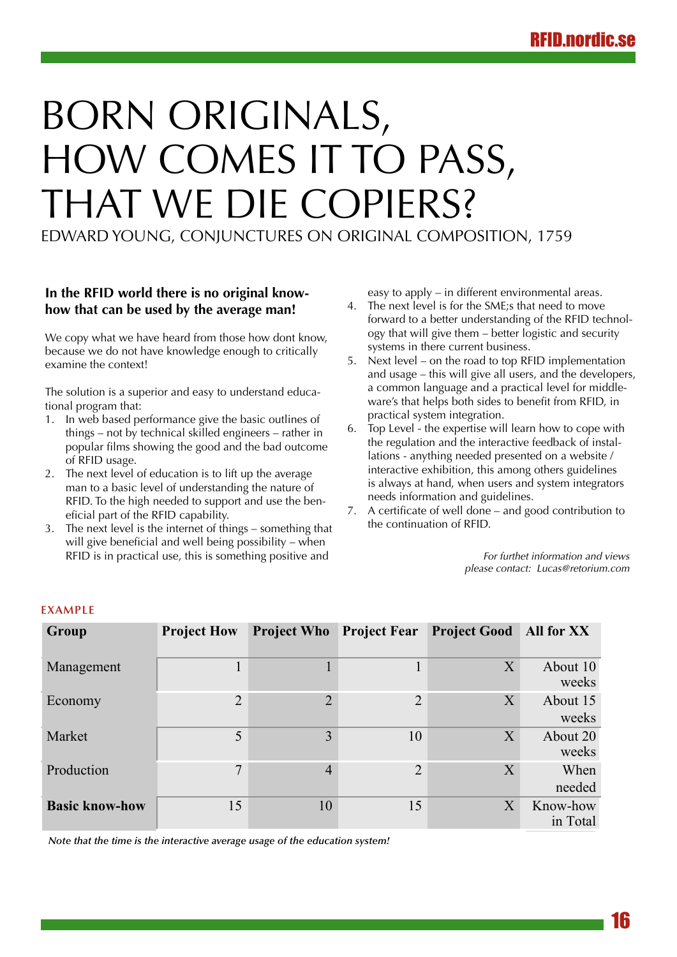# Born originals, how comes it to pass, that we die copiers?

Edward Young, Conjunctures on original composition, 1759

## **In the RFID world there is no original knowhow that can be used by the average man!**

We copy what we have heard from those how dont know, because we do not have knowledge enough to critically examine the context!

The solution is a superior and easy to understand educational program that:

- 1. In web based performance give the basic outlines of things – not by technical skilled engineers – rather in popular films showing the good and the bad outcome of RFID usage.
- 2. The next level of education is to lift up the average man to a basic level of understanding the nature of RFID. To the high needed to support and use the beneficial part of the RFID capability.
- 3. The next level is the internet of things something that will give beneficial and well being possibility – when RFID is in practical use, this is something positive and

easy to apply – in different environmental areas.

- 4. The next level is for the SME;s that need to move forward to a better understanding of the RFID technology that will give them – better logistic and security systems in there current business.
- 5. Next level on the road to top RFID implementation and usage – this will give all users, and the developers, a common language and a practical level for middleware's that helps both sides to benefit from RFID, in practical system integration.
- 6. Top Level the expertise will learn how to cope with the regulation and the interactive feedback of installations - anything needed presented on a website / interactive exhibition, this among others guidelines is always at hand, when users and system integrators needs information and guidelines.
- 7. A certificate of well done and good contribution to the continuation of RFID.

*For furthet information and views please contact: Lucas@retorium.com*

| Group                 | <b>Project How</b> |                | <b>Project Who</b> Project Fear | <b>Project Good All for XX</b> |                      |
|-----------------------|--------------------|----------------|---------------------------------|--------------------------------|----------------------|
| Management            | $\mathbf{1}$       |                |                                 | X                              | About 10<br>weeks    |
| Economy               | $\overline{2}$     | $\overline{2}$ | $\overline{2}$                  | X                              | About 15<br>weeks    |
| Market                | 5                  | 3              | 10                              | X                              | About 20<br>weeks    |
| Production            | $\overline{7}$     | $\overline{4}$ | $\overline{2}$                  | X                              | When<br>needed       |
| <b>Basic know-how</b> | 15                 | 10             | 15                              | X                              | Know-how<br>in Total |

### **Example**

*Note that the time is the interactive average usage of the education system!*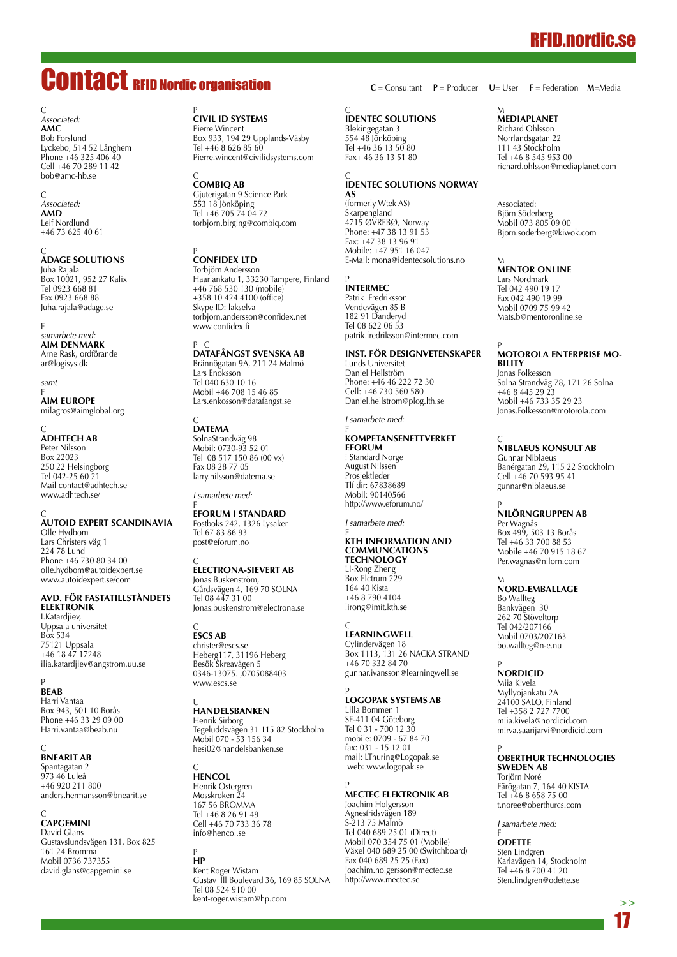# RFID.nordic.se

# Contact RFID Nordic organisation

#### C *Associated:* **AMC** Bob Forslund Lyckebo, 514 52 Långhem Phone +46 325 406 40 Cell +46 70 289 11 42 bob@amc-hb.se

C *Associated:* **AMD** Leif Nordlund +46 73 625 40 61

C<br>**ADAGE SC** Juha Rajala Box 10021, 952 27 Kalix Tel 0923 668 81 Fax 0923 668 88 Juha.rajala@adage.se

#### F *samarbete med:* **AIM Denmark** Arne Rask, ordförande ar@logisys.dk

*samt*

F<br>**AIM EU** milagros@aimglobal.org

# C **AdhTech AB**

Peter Nilsson **Box 22023** 250 22 Helsingborg Tel 042-25 60 21 Mail contact@adhtech.se www.adhtech.se/

C<br>**AUTOID EXPERT SC** 

Olle Hydbom Lars Christers väg 1 224 78 Lund Phone +46 730 80 34 00 olle.hydbom@autoidexpert.se www.autoidexpert.se/com

#### **Avd. för fastatillståndets elektronik**

I.Katardjiev, Uppsala universitet Box 534 75121 Uppsala +46 18 47 17248 ilia.katardjiev@angstrom.uu.se

P **BEAB** Harri Vantaa Box 943, 501 10 Borås Phone +46 33 29 09 00 Harri.vantaa@beab.nu

# C **BnearIT AB**

Spantagatan 2 973 46 Luleå +46 920 211 800 anders.hermansson@bnearit.se

C **CAPGEMINI** David Glans Gustavslundsvägen 131, Box 825 161 24 Bromma Mobil 0736 737355 david.glans@capgemini.se

# <sup>P</sup><br>CIVIL ID SYST

Pierre Wincent Box 933, 194 29 Upplands-Väsby Tel +46 8 626 85 60 Pierre.wincent@civilidsystems.com

# C **CombiQ AB**

Gjuterigatan 9 Science Park 553 18 Jönköping Tel +46 705 74 04 72 torbjorn.birging@combiq.com

# <sup>P</sup><br>**CONFIDEX LT**

Torbjörn Andersson Haarlankatu 1, 33230 Tampere, Finland +46 768 530 130 (mobile) +358 10 424 4100 (office) Skype ID: lakselva torbjorn.andersson@confidex.net www.confidex.fi

# P C **DataFångst Svenska AB**

Brännögatan 9A, 211 24 Malmö Lars Enoksson Tel 040 630 10 16 Mobil +46 708 15 46 85 Lars.enkosson@datafangst.se

# C **DATEMA**

SolnaStrandväg 98 Mobil: 0730-93 52 01 Tel 08 517 150 86 (00 vx) Fax 08 28 77 05 larry.nilsson@datema.se

# *I samarbete med:*

f<br>**EFORUM I ST** Postboks 242, 1326 Lysaker Tel 67 83 86 93 post@eforum.no

# C **Electrona-Sievert AB**

Jonas Buskenström, Gårdsvägen 4, 169 70 SOLNA Tel 08 447 31 00 Jonas.buskenstrom@electrona.se

# C **ESCS AB**

christer@escs.se Heberg117, 31196 Heberg Besök Skreavägen 5 0346-13075. ,0705088403 www.escs.se

# U<br>**Ha**

Henrik Sirborg Tegeluddsvägen 31 115 82 Stockholm Mobil 070 - 53 156 34 hesi02@handelsbanken.se

# C **HENCOL**

Henrik Östergren Mosskroken 24 167 56 BROMMA Tel +46 8 26 91 49 Cell +46 70 733 36 78 info@hencol.se

# P **HP**

Kent Roger Wistam Gustav lll Boulevard 36, 169 85 SOLNA Tel 08 524 910 00 kent-roger.wistam@hp.com

**C** = Consultant **P** = Producer **U**= User **F** = Federation **M**=Media

#### $\epsilon$ **IDENTEC SOLUTIONS**

Blekingegatan 3 554 48 Jönköping Tel +46 36 13 50 80 Fax+ 46 36 13 51 80

#### C **IDENTEC SOLUTIONS Norway AS**

(formerly Wtek AS) Skarpengland 4715 ØVREBØ, Norway Phone: +47 38 13 91 53 Fax: +47 38 13 96 91 Mobile: +47 951 16 047 E-Mail: mona@identecsolutions.no

# P **INTERMEC**

Patrik Fredriksson Vendevägen 85 B 182 91 Danderyd Tel 08 622 06 53 patrik.fredriksson@intermec.com

#### **Inst. för Designvetenskaper**

Lunds Universitet Daniel Hellström Phone: +46 46 222 72 30 Cell: +46 730 560 580 Daniel.hellstrom@plog.lth.se

*I samarbete med:*

#### F<br>Ko **eforum**

i Standard Norge August Nilssen Prosjektleder Tlf dir: 67838689 Mobil: 90140566 http://www.eforum.no/

*I samarbete med:*

#### F<br>**KTH INFORMATION A Communcations Technology**

LI-Rong Zheng Box Elctrum 229 164 40 Kista +46 8 790 4104 lirong@imit.kth.se

# C<br>**LEARNINGWE**

Cylindervägen 18 Box 1113, 131 26 NACKA STRAND +46 70 332 84 70 gunnar.ivansson@learningwell.se

# P **Logopak Systems AB**

Lilla Bommen 1 SE-411 04 Göteborg Tel 0 31 - 700 12 30 mobile: 0709 - 67 84 70 fax: 031 - 15 12 01 mail: LThuring@Logopak.se web: www.logopak.se

# P **MECTEC Elektronik AB**

Joachim Holgersson Agnesfridsvägen 189 S-213 75 Malmö Tel 040 689 25 01 (Direct) Mobil 070 354 75 01 (Mobile) Växel 040 689 25 00 (Switchboard) Fax 040 689 25 25 (Fax) joachim.holgersson@mectec.se http://www.mectec.se

#### M **MEDIAPLANET**

Richard Ohlsson Norrlandsgatan 22 111 43 Stockholm Tel +46 8 545 953 00 richard.ohlsson@mediaplanet.com

Associated: Björn Söderberg Mobil 073 805 09 00 Bjorn.soderberg@kiwok.com

# M **MENTOR ONLINE**

Lars Nordmark Tel 042 490 19 17 Fax 042 490 19 99 Mobil 0709 75 99 42 Mats.b@mentoronline.se

### P **MOTOROLA Enterprise Mobility**

Jonas Folkesson Solna Strandväg 78, 171 26 Solna +46 8 445 29 23 Mobil +46 733 35 29 23 Jonas.Folkesson@motorola.com

# C **NIBLAEUS KONSULT AB**

Gunnar Niblaeus Banérgatan 29, 115 22 Stockholm Cell +46 70 593 95 41 gunnar@niblaeus.se

# P **NILÖRNGRUPPEN AB**

Per Wagnås Box 499, 503 13 Borås Tel +46 33 700 88 53 Mobile +46 70 915 18 67 Per.wagnas@nilorn.com

# m<br>**Nord-e**m

Bo Wallteg Bankvägen 30 262 70 Stöveltorp Tel 042/207166 Mobil 0703/207163 bo.wallteg@n-e.nu

# P **NORDICID**

Miia Kivela Myllyojankatu 2A 24100 SALO, Finland Tel +358 2 727 7700 miia.kivela@nordicid.com mirva.saarijarvi@nordicid.com

### P **OBERTHUR TECHNOLOGIES Sweden AB**

Torjörn Noré Färögatan 7, 164 40 KISTA Tel +46 8 658 75 00 t.noree@oberthurcs.com

*I samarbete med:*

F **ODETTE** Sten Lindgren Karlavägen 14, Stockholm Tel +46 8 700 41 20 Sten.lindgren@odette.se